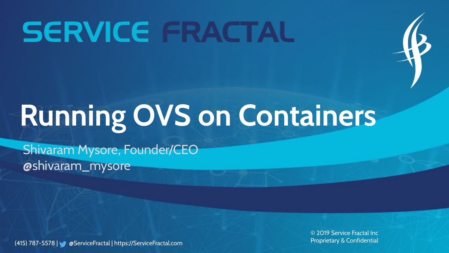# **SERVICE FRACTAL**



# **Running OVS on Containers**

Shivaram Mysore, Founder/CEO @shivaram\_mysore

(415) 787-5578 | @ServiceFractal | https://ServiceFractal.com

© 2019 Service Fractal Inc Proprietary & Confidential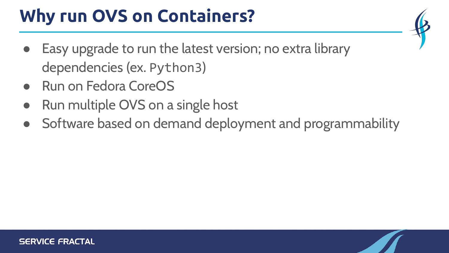### **Why run OVS on Containers?**

- Easy upgrade to run the latest version; no extra library dependencies (ex. Python3)
- **Run on Fedora CoreOS**
- Run multiple OVS on a single host
- Software based on demand deployment and programmability

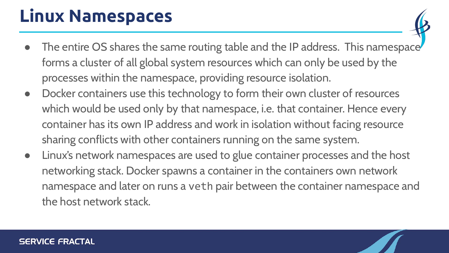### **Linux Namespaces**

- The entire OS shares the same routing table and the IP address. This namespace forms a cluster of all global system resources which can only be used by the processes within the namespace, providing resource isolation.
- Docker containers use this technology to form their own cluster of resources which would be used only by that namespace, i.e. that container. Hence every container has its own IP address and work in isolation without facing resource sharing conflicts with other containers running on the same system.
- Linux's network namespaces are used to glue container processes and the host networking stack. Docker spawns a container in the containers own network namespace and later on runs a veth pair between the container namespace and the host network stack.

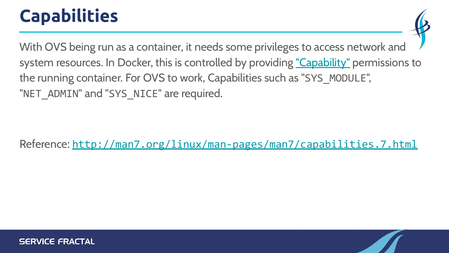### **Capabilities**

With OVS being run as a container, it needs some privileges to access network and system resources. In Docker, this is controlled by providing ["Capability"](https://docs.docker.com/engine/reference/run/#runtime-privilege-and-linux-capabilities) permissions to the running container. For OVS to work, Capabilities such as "SYS\_MODULE", "NET\_ADMIN" and "SYS\_NICE" are required.

Reference: <http://man7.org/linux/man-pages/man7/capabilities.7.html>

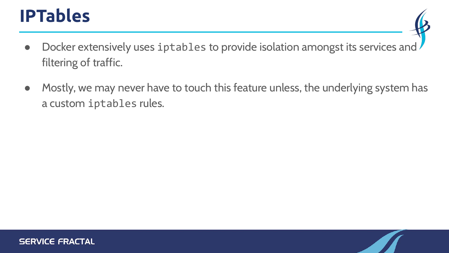#### **IPTables**

- Docker extensively uses iptables to provide isolation amongst its services and filtering of traffic.
- Mostly, we may never have to touch this feature unless, the underlying system has a custom iptables rules.

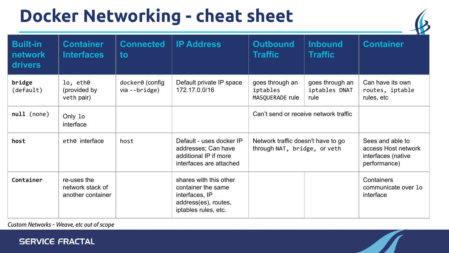### **Docker Networking - cheat sheet**



| <b>Built-in</b><br><b>network</b><br><b>drivers</b> | <b>Container</b><br><b>Interfaces</b>                | <b>Connected</b><br>to           | <b>IP Address</b>                                                                                              | <b>Outbound</b><br><b>Traffic</b>                                  | <b>Inbound</b><br><b>Traffic</b>         | <b>Container</b>                                                              |
|-----------------------------------------------------|------------------------------------------------------|----------------------------------|----------------------------------------------------------------------------------------------------------------|--------------------------------------------------------------------|------------------------------------------|-------------------------------------------------------------------------------|
| bridge<br>(default)                                 | lo, eth0<br>(provided by<br>veth pair)               | docker0 (config<br>via --bridge) | Default private IP space<br>172.17.0.0/16                                                                      | goes through an<br>iptables<br>MASQUERADE rule                     | goes through an<br>iptables DNAT<br>rule | Can have its own<br>routes, iptable<br>rules, etc                             |
| null (none)                                         | Only 1o<br>interface                                 |                                  |                                                                                                                | Can't send or receive network traffic                              |                                          |                                                                               |
| host                                                | eth0 interface                                       | host                             | Default - uses docker IP<br>addresses; Can have<br>additional IP if more<br>interfaces are attached            | Network traffic doesn't have to go<br>through NAT, bridge, or veth |                                          | Sees and able to<br>access Host network<br>interfaces (native<br>performance) |
| Container                                           | re-uses the<br>network stack of<br>another container |                                  | shares with this other<br>container the same<br>interfaces, IP<br>address(es), routes,<br>iptables rules, etc. |                                                                    |                                          | Containers<br>communicate over 10<br>interface                                |

*Custom Networks - Weave, etc out of scope*

#### **SERVICE FRACTAL**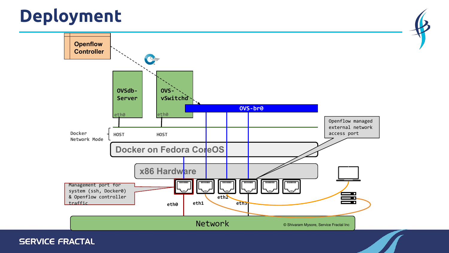### **Deployment**



**SERVICE FRACTAL**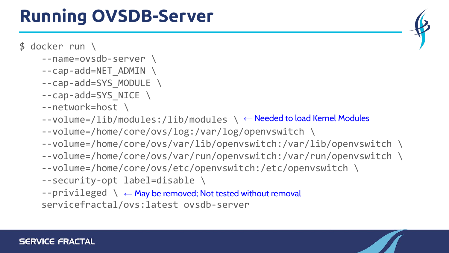#### **SERVICE FRACTAL**

#### **Running OVSDB-Server**

#### \$ docker run \

- --name=ovsdb-server \
- $-$ -cap-add=NET ADMIN  $\setminus$
- --cap-add=SYS\_MODULE \
- --cap-add=SYS\_NICE \
- --network=host \
- --volume=/lib/modules:/lib/modules \ ← Needed to load Kernel Modules
	- --volume=/home/core/ovs/log:/var/log/openvswitch \
	- --volume=/home/core/ovs/var/lib/openvswitch:/var/lib/openvswitch \
	- --volume=/home/core/ovs/var/run/openvswitch:/var/run/openvswitch \
	- --volume=/home/core/ovs/etc/openvswitch:/etc/openvswitch \
	- --security-opt label=disable \
- --privileged \ ← May be removed; Not tested without removalservicefractal/ovs:latest ovsdb-server

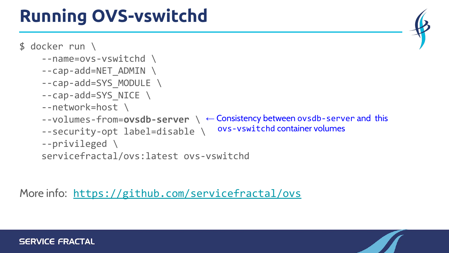## **Running OVS-vswitchd**



More info: <https://github.com/servicefractal/ovs>